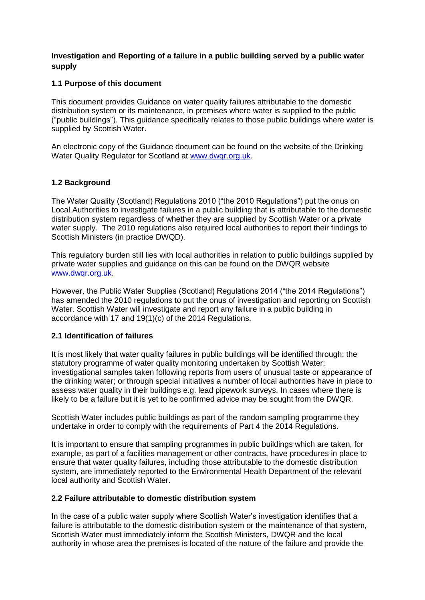## **Investigation and Reporting of a failure in a public building served by a public water supply**

# **1.1 Purpose of this document**

This document provides Guidance on water quality failures attributable to the domestic distribution system or its maintenance, in premises where water is supplied to the public ("public buildings"). This guidance specifically relates to those public buildings where water is supplied by Scottish Water.

An electronic copy of the Guidance document can be found on the website of the Drinking Water Quality Regulator for Scotland at www.dwgr.org.uk.

# **1.2 Background**

The Water Quality (Scotland) Regulations 2010 ("the 2010 Regulations") put the onus on Local Authorities to investigate failures in a public building that is attributable to the domestic distribution system regardless of whether they are supplied by Scottish Water or a private water supply. The 2010 regulations also required local authorities to report their findings to Scottish Ministers (in practice DWQD).

This regulatory burden still lies with local authorities in relation to public buildings supplied by private water supplies and guidance on this can be found on the DWQR website [www.dwqr.org.uk.](http://www.dwqr.org.uk/private-supply/regulatory-guidance-and-information/guidance-on-the-water-quality-scotland-regulations-2010/)

However, the Public Water Supplies (Scotland) Regulations 2014 ("the 2014 Regulations") has amended the 2010 regulations to put the onus of investigation and reporting on Scottish Water. Scottish Water will investigate and report any failure in a public building in accordance with 17 and 19(1)(c) of the 2014 Regulations.

## **2.1 Identification of failures**

It is most likely that water quality failures in public buildings will be identified through: the statutory programme of water quality monitoring undertaken by Scottish Water; investigational samples taken following reports from users of unusual taste or appearance of the drinking water; or through special initiatives a number of local authorities have in place to assess water quality in their buildings e.g. lead pipework surveys. In cases where there is likely to be a failure but it is yet to be confirmed advice may be sought from the DWQR.

Scottish Water includes public buildings as part of the random sampling programme they undertake in order to comply with the requirements of Part 4 the 2014 Regulations.

It is important to ensure that sampling programmes in public buildings which are taken, for example, as part of a facilities management or other contracts, have procedures in place to ensure that water quality failures, including those attributable to the domestic distribution system, are immediately reported to the Environmental Health Department of the relevant local authority and Scottish Water.

## **2.2 Failure attributable to domestic distribution system**

In the case of a public water supply where Scottish Water's investigation identifies that a failure is attributable to the domestic distribution system or the maintenance of that system, Scottish Water must immediately inform the Scottish Ministers, DWQR and the local authority in whose area the premises is located of the nature of the failure and provide the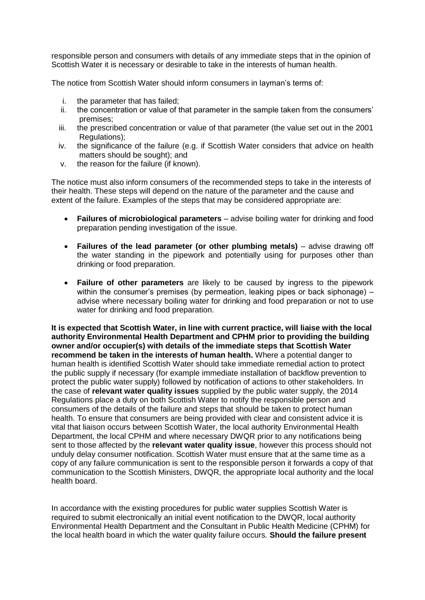responsible person and consumers with details of any immediate steps that in the opinion of Scottish Water it is necessary or desirable to take in the interests of human health.

The notice from Scottish Water should inform consumers in layman's terms of:

- i. the parameter that has failed;
- ii. the concentration or value of that parameter in the sample taken from the consumers' premises;
- iii. the prescribed concentration or value of that parameter (the value set out in the 2001 Regulations);
- iv. the significance of the failure (e.g. if Scottish Water considers that advice on health matters should be sought); and
- v. the reason for the failure (if known).

The notice must also inform consumers of the recommended steps to take in the interests of their health. These steps will depend on the nature of the parameter and the cause and extent of the failure. Examples of the steps that may be considered appropriate are:

- **Failures of microbiological parameters** advise boiling water for drinking and food preparation pending investigation of the issue.
- **Failures of the lead parameter (or other plumbing metals)** advise drawing off the water standing in the pipework and potentially using for purposes other than drinking or food preparation.
- **Failure of other parameters** are likely to be caused by ingress to the pipework within the consumer's premises (by permeation, leaking pipes or back siphonage)  $$ advise where necessary boiling water for drinking and food preparation or not to use water for drinking and food preparation.

**It is expected that Scottish Water, in line with current practice, will liaise with the local authority Environmental Health Department and CPHM prior to providing the building owner and/or occupier(s) with details of the immediate steps that Scottish Water recommend be taken in the interests of human health.** Where a potential danger to human health is identified Scottish Water should take immediate remedial action to protect the public supply if necessary (for example immediate installation of backflow prevention to protect the public water supply) followed by notification of actions to other stakeholders. In the case of **relevant water quality issues** supplied by the public water supply, the 2014 Regulations place a duty on both Scottish Water to notify the responsible person and consumers of the details of the failure and steps that should be taken to protect human health. To ensure that consumers are being provided with clear and consistent advice it is vital that liaison occurs between Scottish Water, the local authority Environmental Health Department, the local CPHM and where necessary DWQR prior to any notifications being sent to those affected by the **relevant water quality issue**, however this process should not unduly delay consumer notification. Scottish Water must ensure that at the same time as a copy of any failure communication is sent to the responsible person it forwards a copy of that communication to the Scottish Ministers, DWQR, the appropriate local authority and the local health board.

In accordance with the existing procedures for public water supplies Scottish Water is required to submit electronically an initial event notification to the DWQR, local authority Environmental Health Department and the Consultant in Public Health Medicine (CPHM) for the local health board in which the water quality failure occurs. **Should the failure present**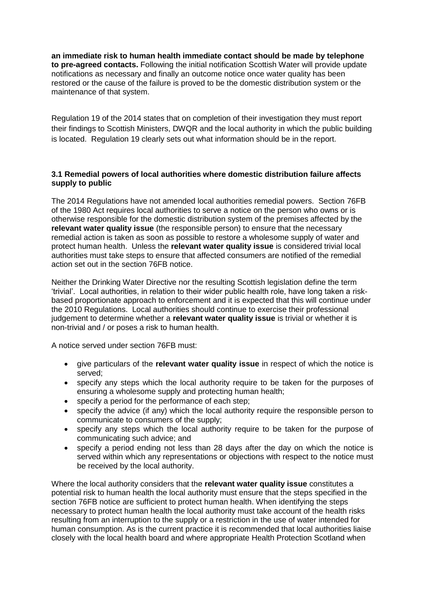**an immediate risk to human health immediate contact should be made by telephone to pre-agreed contacts.** Following the initial notification Scottish Water will provide update notifications as necessary and finally an outcome notice once water quality has been restored or the cause of the failure is proved to be the domestic distribution system or the maintenance of that system.

Regulation 19 of the 2014 states that on completion of their investigation they must report their findings to Scottish Ministers, DWQR and the local authority in which the public building is located. Regulation 19 clearly sets out what information should be in the report.

## **3.1 Remedial powers of local authorities where domestic distribution failure affects supply to public**

The 2014 Regulations have not amended local authorities remedial powers. Section 76FB of the 1980 Act requires local authorities to serve a notice on the person who owns or is otherwise responsible for the domestic distribution system of the premises affected by the **relevant water quality issue** (the responsible person) to ensure that the necessary remedial action is taken as soon as possible to restore a wholesome supply of water and protect human health. Unless the **relevant water quality issue** is considered trivial local authorities must take steps to ensure that affected consumers are notified of the remedial action set out in the section 76FB notice.

Neither the Drinking Water Directive nor the resulting Scottish legislation define the term 'trivial'. Local authorities, in relation to their wider public health role, have long taken a riskbased proportionate approach to enforcement and it is expected that this will continue under the 2010 Regulations. Local authorities should continue to exercise their professional judgement to determine whether a **relevant water quality issue** is trivial or whether it is non-trivial and / or poses a risk to human health.

A notice served under section 76FB must:

- give particulars of the **relevant water quality issue** in respect of which the notice is served;
- specify any steps which the local authority require to be taken for the purposes of ensuring a wholesome supply and protecting human health;
- specify a period for the performance of each step;
- specify the advice (if any) which the local authority require the responsible person to communicate to consumers of the supply;
- specify any steps which the local authority require to be taken for the purpose of communicating such advice; and
- specify a period ending not less than 28 days after the day on which the notice is served within which any representations or objections with respect to the notice must be received by the local authority.

Where the local authority considers that the **relevant water quality issue** constitutes a potential risk to human health the local authority must ensure that the steps specified in the section 76FB notice are sufficient to protect human health. When identifying the steps necessary to protect human health the local authority must take account of the health risks resulting from an interruption to the supply or a restriction in the use of water intended for human consumption. As is the current practice it is recommended that local authorities liaise closely with the local health board and where appropriate Health Protection Scotland when